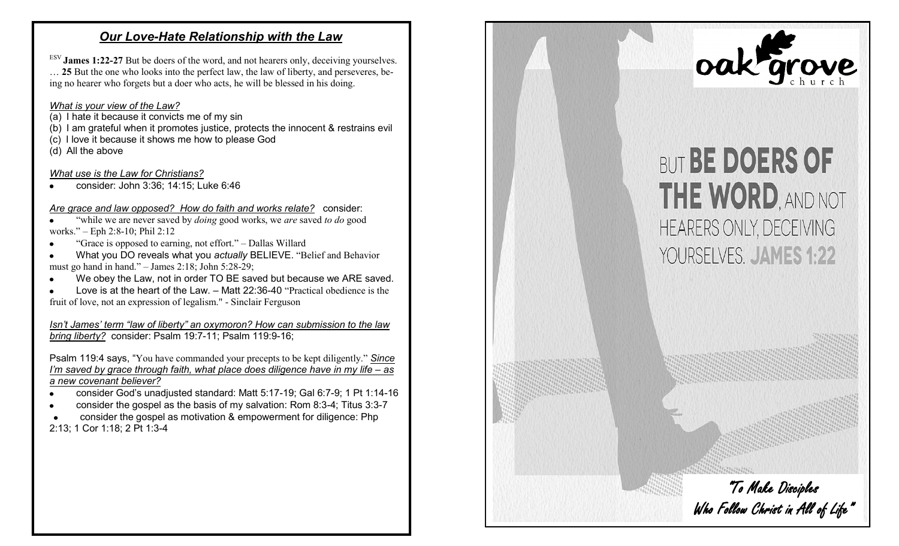# *Our Love-Hate Relationship with the Law*

ESV **James 1:22-27** But be doers of the word, and not hearers only, deceiving yourselves. … **25** But the one who looks into the perfect law, the law of liberty, and perseveres, being no hearer who forgets but a doer who acts, he will be blessed in his doing.

# *What is your view of the Law?*

- $(a)$  I hate it because it convicts me of my sin
- (b) I am grateful when it promotes justice, protects the innocent & restrains evil
- (c) I love it because it shows me how to please God

(d) All the above

# *What use is the Law for Christians?*

consider: John 3:36; 14:15; Luke 6:46

# *Are grace and law opposed? How do faith and works relate?* consider:

 "while we are never saved by *doing* good works, we *are* saved *to do* good works." – Eph 2:8-10; Phil 2:12

- "Grace is opposed to earning, not effort." Dallas Willard
- What you DO reveals what you *actually* BELIEVE. "Belief and Behavior must go hand in hand."  $-$  James 2:18; John 5:28-29;
- We obey the Law, not in order TO BE saved but because we ARE saved.
- Love is at the heart of the Law. Matt 22:36-40 "Practical obedience is the fruit of love, not an expression of legalism." - Sinclair Ferguson

*Isn't James' term "law of liberty" an oxymoron? How can submission to the law bring liberty?* consider: Psalm 19:7-11; Psalm 119:9-16;

Psalm 119:4 says, "You have commanded your precepts to be kept diligently." *Since I'm saved by grace through faith, what place does diligence have in my life – as a new covenant believer?*

- consider God's unadjusted standard: Matt 5:17-19; Gal 6:7-9; 1 Pt 1:14-16
- consider the gospel as the basis of my salvation: Rom 8:3-4; Titus 3:3-7

 consider the gospel as motivation & empowerment for diligence: Php  $\bullet$ 2:13; 1 Cor 1:18; 2 Pt 1:3-4



# **YOURSELVES. JAMES 1:22**



who who who has not obey the Song and the Song and the Song and the Song and the Song and the Song and the Song and the Song and the Song and the Song and the Song and the Song and the Song and the Song and the Song and th

**For we are His workmanship, created in Christ Jesus**

*for the* ANGER OF MAN DOES NOT PRODUCE